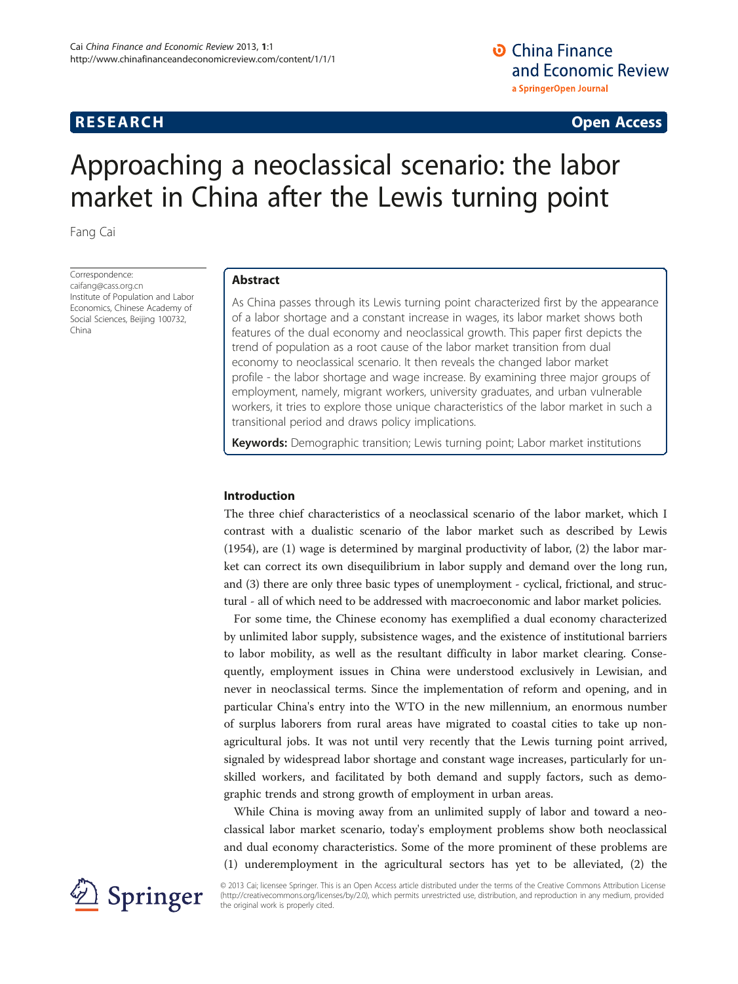# **RESEARCH RESEARCH CONSUMING ACCESS**

# Approaching a neoclassical scenario: the labor market in China after the Lewis turning point

Fang Cai

Correspondence: [caifang@cass.org.cn](mailto:caifang@cass.org.cn) Institute of Population and Labor Economics, Chinese Academy of Social Sciences, Beijing 100732, China

# Abstract

As China passes through its Lewis turning point characterized first by the appearance of a labor shortage and a constant increase in wages, its labor market shows both features of the dual economy and neoclassical growth. This paper first depicts the trend of population as a root cause of the labor market transition from dual economy to neoclassical scenario. It then reveals the changed labor market profile - the labor shortage and wage increase. By examining three major groups of employment, namely, migrant workers, university graduates, and urban vulnerable workers, it tries to explore those unique characteristics of the labor market in such a transitional period and draws policy implications.

Keywords: Demographic transition; Lewis turning point; Labor market institutions

## Introduction

The three chief characteristics of a neoclassical scenario of the labor market, which I contrast with a dualistic scenario of the labor market such as described by Lewis ([1954\)](#page-13-0), are (1) wage is determined by marginal productivity of labor, (2) the labor market can correct its own disequilibrium in labor supply and demand over the long run, and (3) there are only three basic types of unemployment - cyclical, frictional, and structural - all of which need to be addressed with macroeconomic and labor market policies.

For some time, the Chinese economy has exemplified a dual economy characterized by unlimited labor supply, subsistence wages, and the existence of institutional barriers to labor mobility, as well as the resultant difficulty in labor market clearing. Consequently, employment issues in China were understood exclusively in Lewisian, and never in neoclassical terms. Since the implementation of reform and opening, and in particular China's entry into the WTO in the new millennium, an enormous number of surplus laborers from rural areas have migrated to coastal cities to take up nonagricultural jobs. It was not until very recently that the Lewis turning point arrived, signaled by widespread labor shortage and constant wage increases, particularly for unskilled workers, and facilitated by both demand and supply factors, such as demographic trends and strong growth of employment in urban areas.

While China is moving away from an unlimited supply of labor and toward a neoclassical labor market scenario, today's employment problems show both neoclassical and dual economy characteristics. Some of the more prominent of these problems are (1) underemployment in the agricultural sectors has yet to be alleviated, (2) the



© 2013 Cai; licensee Springer. This is an Open Access article distributed under the terms of the Creative Commons Attribution License (<http://creativecommons.org/licenses/by/2.0>), which permits unrestricted use, distribution, and reproduction in any medium, provided the original work is properly cited.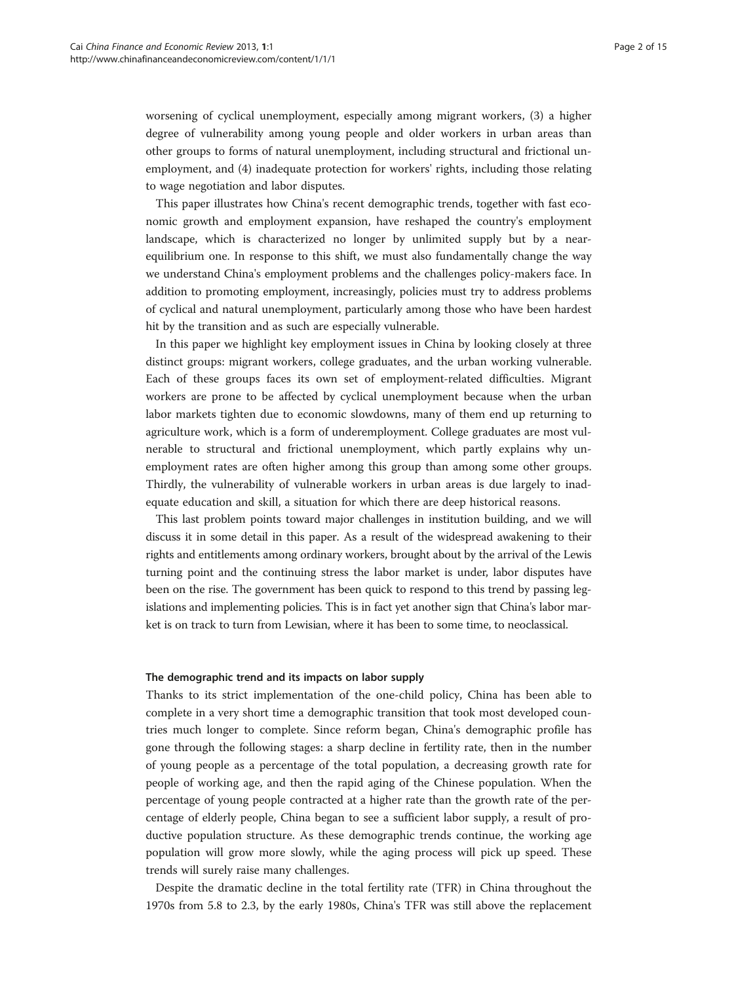worsening of cyclical unemployment, especially among migrant workers, (3) a higher degree of vulnerability among young people and older workers in urban areas than other groups to forms of natural unemployment, including structural and frictional unemployment, and (4) inadequate protection for workers' rights, including those relating to wage negotiation and labor disputes.

This paper illustrates how China's recent demographic trends, together with fast economic growth and employment expansion, have reshaped the country's employment landscape, which is characterized no longer by unlimited supply but by a nearequilibrium one. In response to this shift, we must also fundamentally change the way we understand China's employment problems and the challenges policy-makers face. In addition to promoting employment, increasingly, policies must try to address problems of cyclical and natural unemployment, particularly among those who have been hardest hit by the transition and as such are especially vulnerable.

In this paper we highlight key employment issues in China by looking closely at three distinct groups: migrant workers, college graduates, and the urban working vulnerable. Each of these groups faces its own set of employment-related difficulties. Migrant workers are prone to be affected by cyclical unemployment because when the urban labor markets tighten due to economic slowdowns, many of them end up returning to agriculture work, which is a form of underemployment. College graduates are most vulnerable to structural and frictional unemployment, which partly explains why unemployment rates are often higher among this group than among some other groups. Thirdly, the vulnerability of vulnerable workers in urban areas is due largely to inadequate education and skill, a situation for which there are deep historical reasons.

This last problem points toward major challenges in institution building, and we will discuss it in some detail in this paper. As a result of the widespread awakening to their rights and entitlements among ordinary workers, brought about by the arrival of the Lewis turning point and the continuing stress the labor market is under, labor disputes have been on the rise. The government has been quick to respond to this trend by passing legislations and implementing policies. This is in fact yet another sign that China's labor market is on track to turn from Lewisian, where it has been to some time, to neoclassical.

#### The demographic trend and its impacts on labor supply

Thanks to its strict implementation of the one-child policy, China has been able to complete in a very short time a demographic transition that took most developed countries much longer to complete. Since reform began, China's demographic profile has gone through the following stages: a sharp decline in fertility rate, then in the number of young people as a percentage of the total population, a decreasing growth rate for people of working age, and then the rapid aging of the Chinese population. When the percentage of young people contracted at a higher rate than the growth rate of the percentage of elderly people, China began to see a sufficient labor supply, a result of productive population structure. As these demographic trends continue, the working age population will grow more slowly, while the aging process will pick up speed. These trends will surely raise many challenges.

Despite the dramatic decline in the total fertility rate (TFR) in China throughout the 1970s from 5.8 to 2.3, by the early 1980s, China's TFR was still above the replacement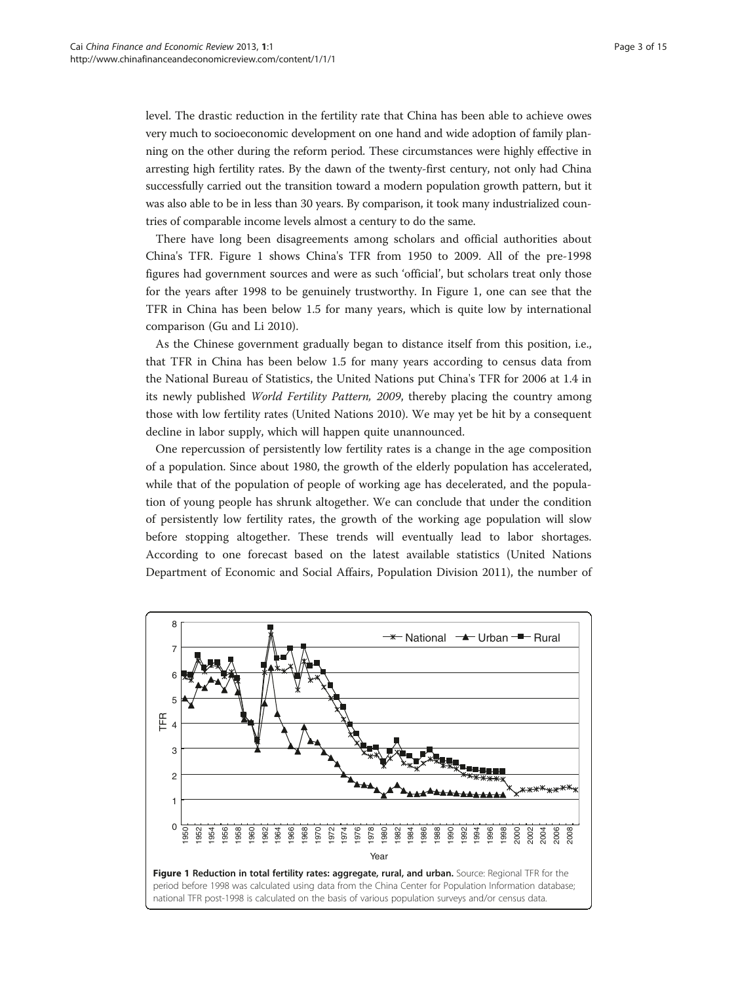level. The drastic reduction in the fertility rate that China has been able to achieve owes very much to socioeconomic development on one hand and wide adoption of family planning on the other during the reform period. These circumstances were highly effective in arresting high fertility rates. By the dawn of the twenty-first century, not only had China successfully carried out the transition toward a modern population growth pattern, but it was also able to be in less than 30 years. By comparison, it took many industrialized countries of comparable income levels almost a century to do the same.

There have long been disagreements among scholars and official authorities about China's TFR. Figure 1 shows China's TFR from 1950 to 2009. All of the pre-1998 figures had government sources and were as such 'official', but scholars treat only those for the years after 1998 to be genuinely trustworthy. In Figure 1, one can see that the TFR in China has been below 1.5 for many years, which is quite low by international comparison (Gu and Li [2010\)](#page-13-0).

As the Chinese government gradually began to distance itself from this position, i.e., that TFR in China has been below 1.5 for many years according to census data from the National Bureau of Statistics, the United Nations put China's TFR for 2006 at 1.4 in its newly published World Fertility Pattern, 2009, thereby placing the country among those with low fertility rates (United Nations [2010](#page-13-0)). We may yet be hit by a consequent decline in labor supply, which will happen quite unannounced.

One repercussion of persistently low fertility rates is a change in the age composition of a population. Since about 1980, the growth of the elderly population has accelerated, while that of the population of people of working age has decelerated, and the population of young people has shrunk altogether. We can conclude that under the condition of persistently low fertility rates, the growth of the working age population will slow before stopping altogether. These trends will eventually lead to labor shortages. According to one forecast based on the latest available statistics (United Nations Department of Economic and Social Affairs, Population Division [2011](#page-13-0)), the number of

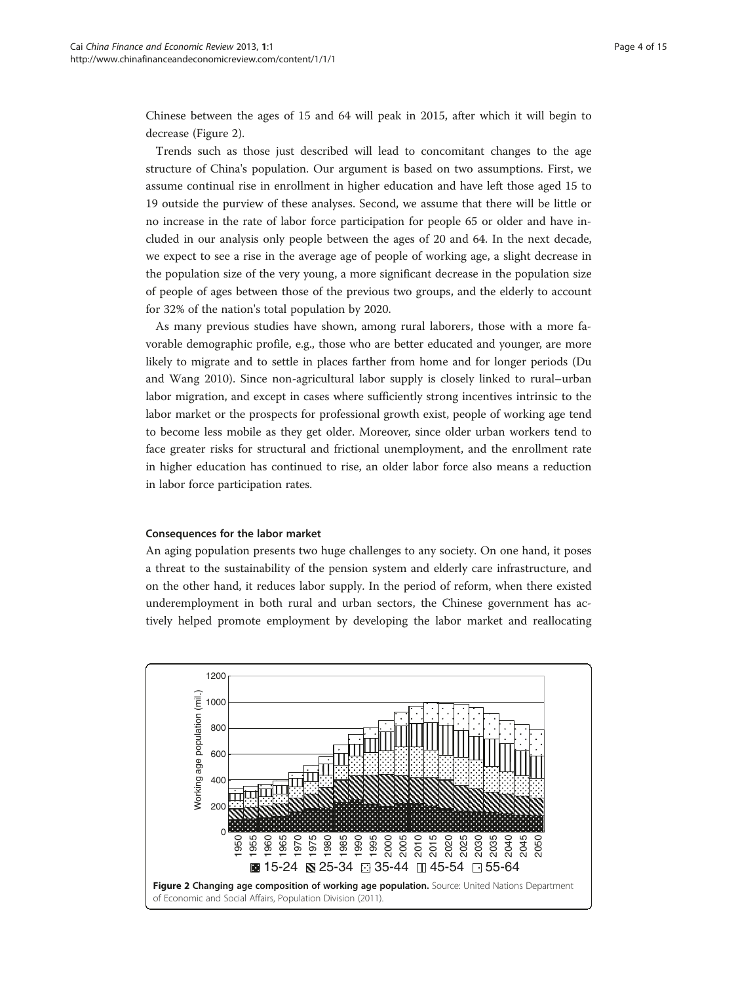Chinese between the ages of 15 and 64 will peak in 2015, after which it will begin to decrease (Figure 2).

Trends such as those just described will lead to concomitant changes to the age structure of China's population. Our argument is based on two assumptions. First, we assume continual rise in enrollment in higher education and have left those aged 15 to 19 outside the purview of these analyses. Second, we assume that there will be little or no increase in the rate of labor force participation for people 65 or older and have included in our analysis only people between the ages of 20 and 64. In the next decade, we expect to see a rise in the average age of people of working age, a slight decrease in the population size of the very young, a more significant decrease in the population size of people of ages between those of the previous two groups, and the elderly to account for 32% of the nation's total population by 2020.

As many previous studies have shown, among rural laborers, those with a more favorable demographic profile, e.g., those who are better educated and younger, are more likely to migrate and to settle in places farther from home and for longer periods (Du and Wang [2010\)](#page-13-0). Since non-agricultural labor supply is closely linked to rural–urban labor migration, and except in cases where sufficiently strong incentives intrinsic to the labor market or the prospects for professional growth exist, people of working age tend to become less mobile as they get older. Moreover, since older urban workers tend to face greater risks for structural and frictional unemployment, and the enrollment rate in higher education has continued to rise, an older labor force also means a reduction in labor force participation rates.

#### Consequences for the labor market

An aging population presents two huge challenges to any society. On one hand, it poses a threat to the sustainability of the pension system and elderly care infrastructure, and on the other hand, it reduces labor supply. In the period of reform, when there existed underemployment in both rural and urban sectors, the Chinese government has actively helped promote employment by developing the labor market and reallocating

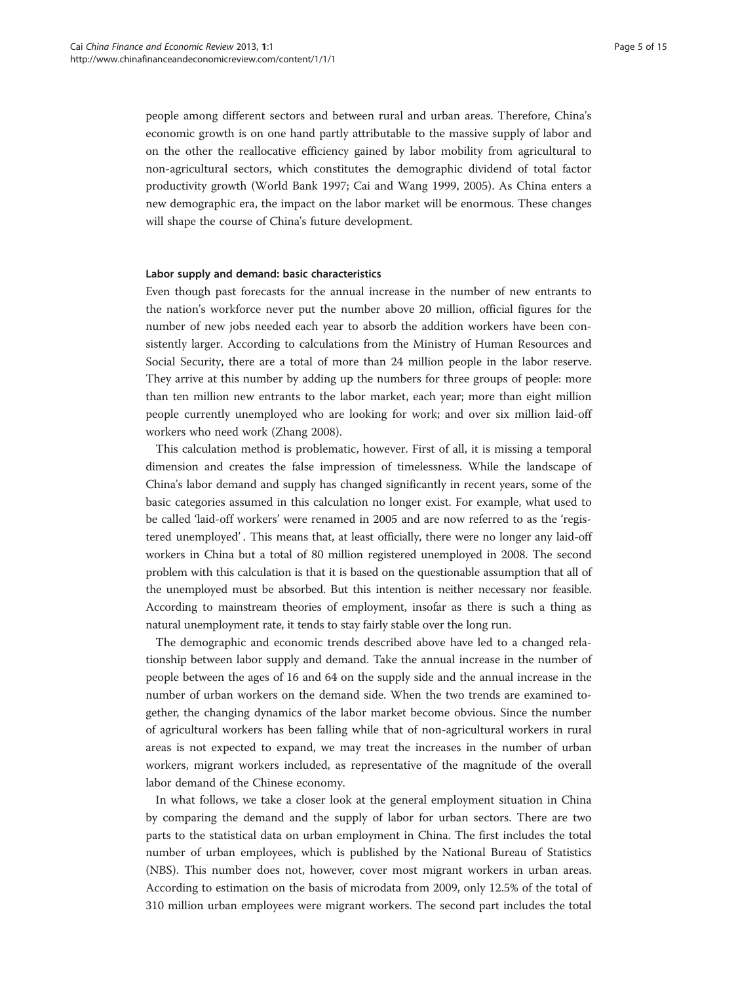people among different sectors and between rural and urban areas. Therefore, China's economic growth is on one hand partly attributable to the massive supply of labor and on the other the reallocative efficiency gained by labor mobility from agricultural to non-agricultural sectors, which constitutes the demographic dividend of total factor productivity growth (World Bank [1997;](#page-14-0) Cai and Wang [1999, 2005\)](#page-13-0). As China enters a new demographic era, the impact on the labor market will be enormous. These changes will shape the course of China's future development.

#### Labor supply and demand: basic characteristics

Even though past forecasts for the annual increase in the number of new entrants to the nation's workforce never put the number above 20 million, official figures for the number of new jobs needed each year to absorb the addition workers have been consistently larger. According to calculations from the Ministry of Human Resources and Social Security, there are a total of more than 24 million people in the labor reserve. They arrive at this number by adding up the numbers for three groups of people: more than ten million new entrants to the labor market, each year; more than eight million people currently unemployed who are looking for work; and over six million laid-off workers who need work (Zhang [2008\)](#page-14-0).

This calculation method is problematic, however. First of all, it is missing a temporal dimension and creates the false impression of timelessness. While the landscape of China's labor demand and supply has changed significantly in recent years, some of the basic categories assumed in this calculation no longer exist. For example, what used to be called 'laid-off workers' were renamed in 2005 and are now referred to as the 'registered unemployed' . This means that, at least officially, there were no longer any laid-off workers in China but a total of 80 million registered unemployed in 2008. The second problem with this calculation is that it is based on the questionable assumption that all of the unemployed must be absorbed. But this intention is neither necessary nor feasible. According to mainstream theories of employment, insofar as there is such a thing as natural unemployment rate, it tends to stay fairly stable over the long run.

The demographic and economic trends described above have led to a changed relationship between labor supply and demand. Take the annual increase in the number of people between the ages of 16 and 64 on the supply side and the annual increase in the number of urban workers on the demand side. When the two trends are examined together, the changing dynamics of the labor market become obvious. Since the number of agricultural workers has been falling while that of non-agricultural workers in rural areas is not expected to expand, we may treat the increases in the number of urban workers, migrant workers included, as representative of the magnitude of the overall labor demand of the Chinese economy.

In what follows, we take a closer look at the general employment situation in China by comparing the demand and the supply of labor for urban sectors. There are two parts to the statistical data on urban employment in China. The first includes the total number of urban employees, which is published by the National Bureau of Statistics (NBS). This number does not, however, cover most migrant workers in urban areas. According to estimation on the basis of microdata from 2009, only 12.5% of the total of 310 million urban employees were migrant workers. The second part includes the total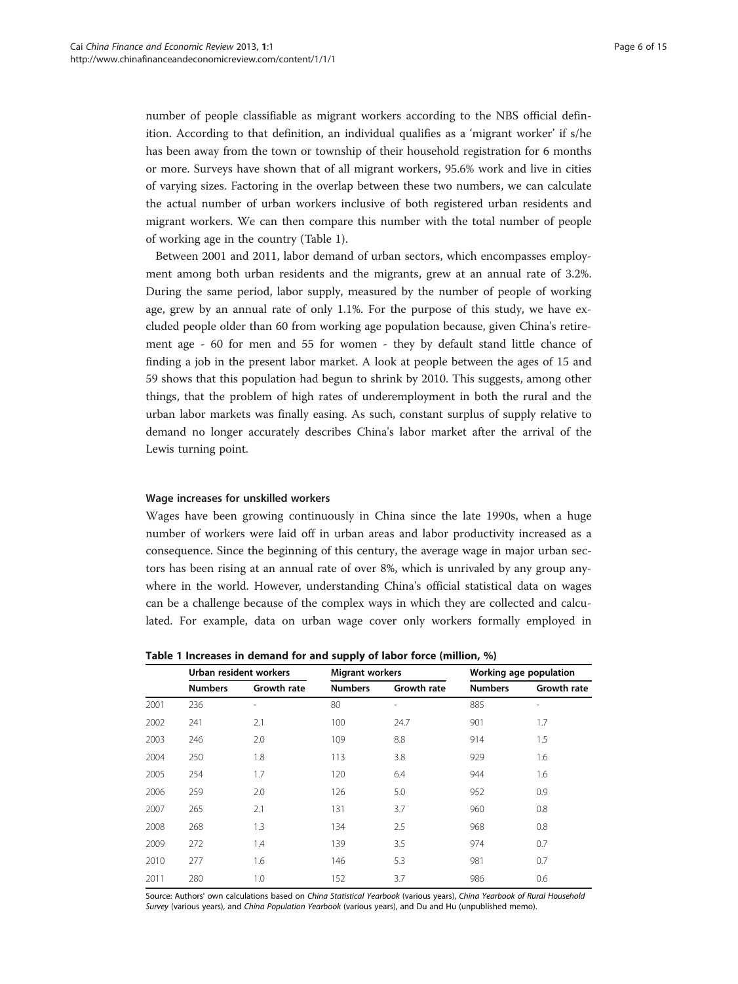number of people classifiable as migrant workers according to the NBS official definition. According to that definition, an individual qualifies as a 'migrant worker' if s/he has been away from the town or township of their household registration for 6 months or more. Surveys have shown that of all migrant workers, 95.6% work and live in cities of varying sizes. Factoring in the overlap between these two numbers, we can calculate the actual number of urban workers inclusive of both registered urban residents and migrant workers. We can then compare this number with the total number of people of working age in the country (Table 1).

Between 2001 and 2011, labor demand of urban sectors, which encompasses employment among both urban residents and the migrants, grew at an annual rate of 3.2%. During the same period, labor supply, measured by the number of people of working age, grew by an annual rate of only 1.1%. For the purpose of this study, we have excluded people older than 60 from working age population because, given China's retirement age - 60 for men and 55 for women - they by default stand little chance of finding a job in the present labor market. A look at people between the ages of 15 and 59 shows that this population had begun to shrink by 2010. This suggests, among other things, that the problem of high rates of underemployment in both the rural and the urban labor markets was finally easing. As such, constant surplus of supply relative to demand no longer accurately describes China's labor market after the arrival of the Lewis turning point.

#### Wage increases for unskilled workers

Wages have been growing continuously in China since the late 1990s, when a huge number of workers were laid off in urban areas and labor productivity increased as a consequence. Since the beginning of this century, the average wage in major urban sectors has been rising at an annual rate of over 8%, which is unrivaled by any group anywhere in the world. However, understanding China's official statistical data on wages can be a challenge because of the complex ways in which they are collected and calculated. For example, data on urban wage cover only workers formally employed in

| Table 1 Increases in demand for and supply of labor force (million, %) |  |
|------------------------------------------------------------------------|--|
|------------------------------------------------------------------------|--|

|      | Urban resident workers |             | <b>Migrant workers</b> |             | Working age population |             |
|------|------------------------|-------------|------------------------|-------------|------------------------|-------------|
|      | <b>Numbers</b>         | Growth rate | <b>Numbers</b>         | Growth rate | <b>Numbers</b>         | Growth rate |
| 2001 | 236                    | ۰           | 80                     | -           | 885                    | ٠           |
| 2002 | 241                    | 2.1         | 100                    | 24.7        | 901                    | 1.7         |
| 2003 | 246                    | 2.0         | 109                    | 8.8         | 914                    | 1.5         |
| 2004 | 250                    | 1.8         | 113                    | 3.8         | 929                    | 1.6         |
| 2005 | 254                    | 1.7         | 120                    | 6.4         | 944                    | 1.6         |
| 2006 | 259                    | 2.0         | 126                    | 5.0         | 952                    | 0.9         |
| 2007 | 265                    | 2.1         | 131                    | 3.7         | 960                    | 0.8         |
| 2008 | 268                    | 1.3         | 134                    | 2.5         | 968                    | 0.8         |
| 2009 | 272                    | 1.4         | 139                    | 3.5         | 974                    | 0.7         |
| 2010 | 277                    | 1.6         | 146                    | 5.3         | 981                    | 0.7         |
| 2011 | 280                    | 1.0         | 152                    | 3.7         | 986                    | 0.6         |

Source: Authors' own calculations based on China Statistical Yearbook (various years), China Yearbook of Rural Household Survey (various years), and China Population Yearbook (various years), and Du and Hu (unpublished memo).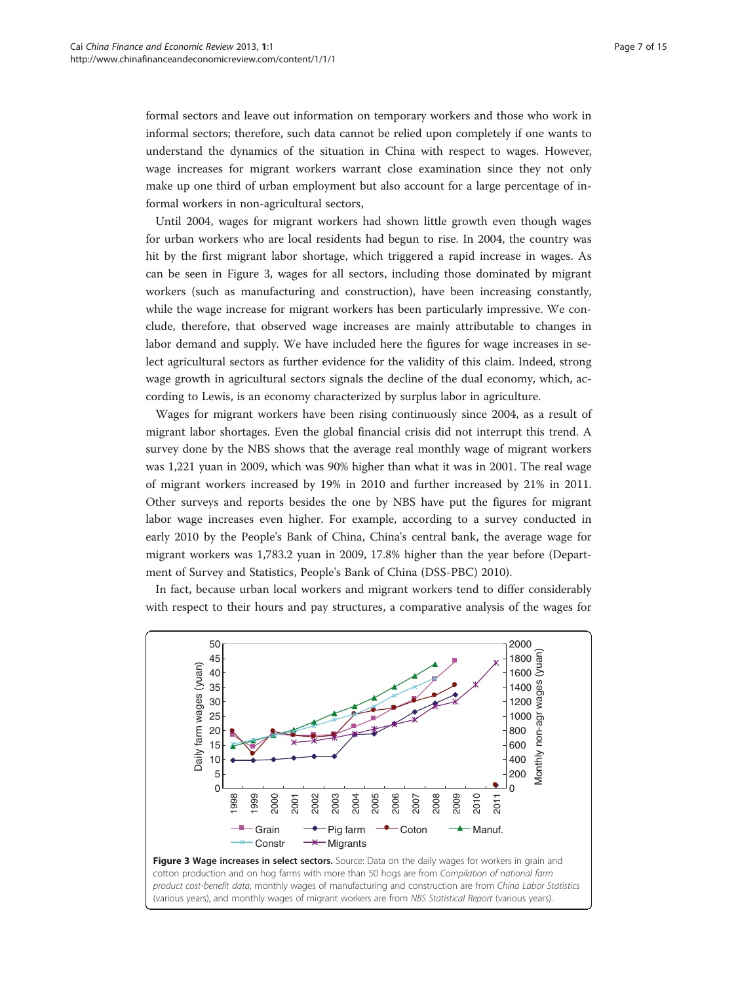formal sectors and leave out information on temporary workers and those who work in informal sectors; therefore, such data cannot be relied upon completely if one wants to understand the dynamics of the situation in China with respect to wages. However, wage increases for migrant workers warrant close examination since they not only make up one third of urban employment but also account for a large percentage of informal workers in non-agricultural sectors,

Until 2004, wages for migrant workers had shown little growth even though wages for urban workers who are local residents had begun to rise. In 2004, the country was hit by the first migrant labor shortage, which triggered a rapid increase in wages. As can be seen in Figure 3, wages for all sectors, including those dominated by migrant workers (such as manufacturing and construction), have been increasing constantly, while the wage increase for migrant workers has been particularly impressive. We conclude, therefore, that observed wage increases are mainly attributable to changes in labor demand and supply. We have included here the figures for wage increases in select agricultural sectors as further evidence for the validity of this claim. Indeed, strong wage growth in agricultural sectors signals the decline of the dual economy, which, according to Lewis, is an economy characterized by surplus labor in agriculture.

Wages for migrant workers have been rising continuously since 2004, as a result of migrant labor shortages. Even the global financial crisis did not interrupt this trend. A survey done by the NBS shows that the average real monthly wage of migrant workers was 1,221 yuan in 2009, which was 90% higher than what it was in 2001. The real wage of migrant workers increased by 19% in 2010 and further increased by 21% in 2011. Other surveys and reports besides the one by NBS have put the figures for migrant labor wage increases even higher. For example, according to a survey conducted in early [2010](#page-13-0) by the People's Bank of China, China's central bank, the average wage for migrant workers was 1,783.2 yuan in 2009, 17.8% higher than the year before (Department of Survey and Statistics, People's Bank of China (DSS-PBC) [2010](#page-13-0)).

In fact, because urban local workers and migrant workers tend to differ considerably with respect to their hours and pay structures, a comparative analysis of the wages for



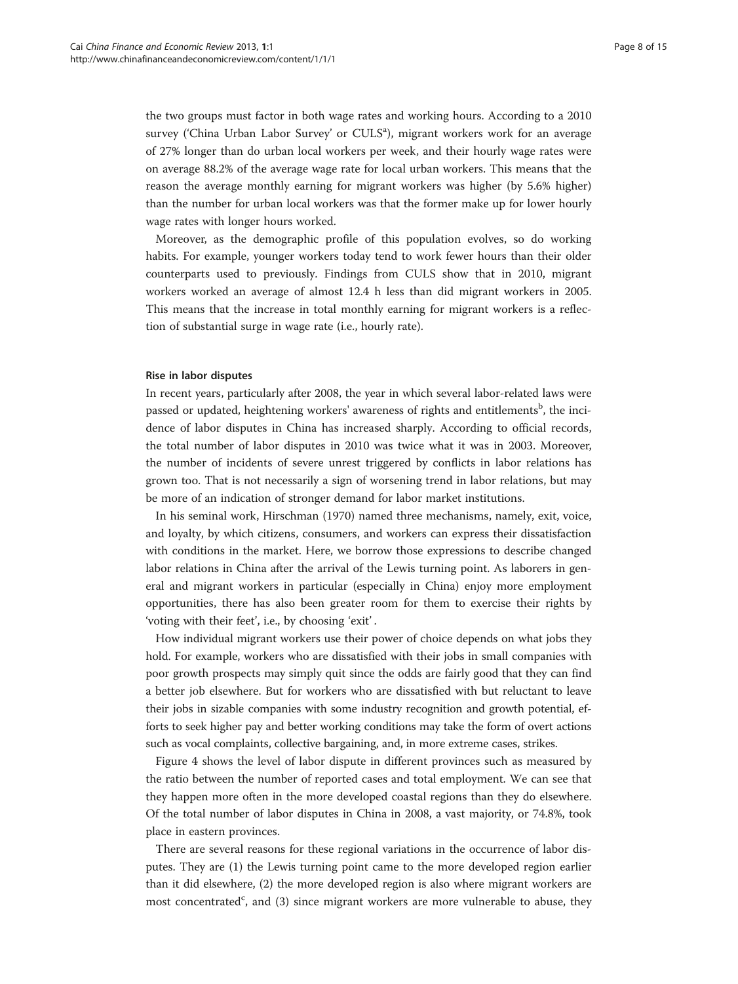the two groups must factor in both wage rates and working hours. According to a 2010 survey ('China Urban Labor Survey' or CULS<sup>a</sup>), migrant workers work for an average of 27% longer than do urban local workers per week, and their hourly wage rates were on average 88.2% of the average wage rate for local urban workers. This means that the reason the average monthly earning for migrant workers was higher (by 5.6% higher) than the number for urban local workers was that the former make up for lower hourly wage rates with longer hours worked.

Moreover, as the demographic profile of this population evolves, so do working habits. For example, younger workers today tend to work fewer hours than their older counterparts used to previously. Findings from CULS show that in 2010, migrant workers worked an average of almost 12.4 h less than did migrant workers in 2005. This means that the increase in total monthly earning for migrant workers is a reflection of substantial surge in wage rate (i.e., hourly rate).

#### Rise in labor disputes

In recent years, particularly after 2008, the year in which several labor-related laws were passed or updated, heightening workers' awareness of rights and entitlements<sup>b</sup>, the incidence of labor disputes in China has increased sharply. According to official records, the total number of labor disputes in 2010 was twice what it was in 2003. Moreover, the number of incidents of severe unrest triggered by conflicts in labor relations has grown too. That is not necessarily a sign of worsening trend in labor relations, but may be more of an indication of stronger demand for labor market institutions.

In his seminal work, Hirschman ([1970](#page-13-0)) named three mechanisms, namely, exit, voice, and loyalty, by which citizens, consumers, and workers can express their dissatisfaction with conditions in the market. Here, we borrow those expressions to describe changed labor relations in China after the arrival of the Lewis turning point. As laborers in general and migrant workers in particular (especially in China) enjoy more employment opportunities, there has also been greater room for them to exercise their rights by 'voting with their feet', i.e., by choosing 'exit' .

How individual migrant workers use their power of choice depends on what jobs they hold. For example, workers who are dissatisfied with their jobs in small companies with poor growth prospects may simply quit since the odds are fairly good that they can find a better job elsewhere. But for workers who are dissatisfied with but reluctant to leave their jobs in sizable companies with some industry recognition and growth potential, efforts to seek higher pay and better working conditions may take the form of overt actions such as vocal complaints, collective bargaining, and, in more extreme cases, strikes.

Figure [4](#page-8-0) shows the level of labor dispute in different provinces such as measured by the ratio between the number of reported cases and total employment. We can see that they happen more often in the more developed coastal regions than they do elsewhere. Of the total number of labor disputes in China in 2008, a vast majority, or 74.8%, took place in eastern provinces.

There are several reasons for these regional variations in the occurrence of labor disputes. They are (1) the Lewis turning point came to the more developed region earlier than it did elsewhere, (2) the more developed region is also where migrant workers are most concentrated<sup>c</sup>, and (3) since migrant workers are more vulnerable to abuse, they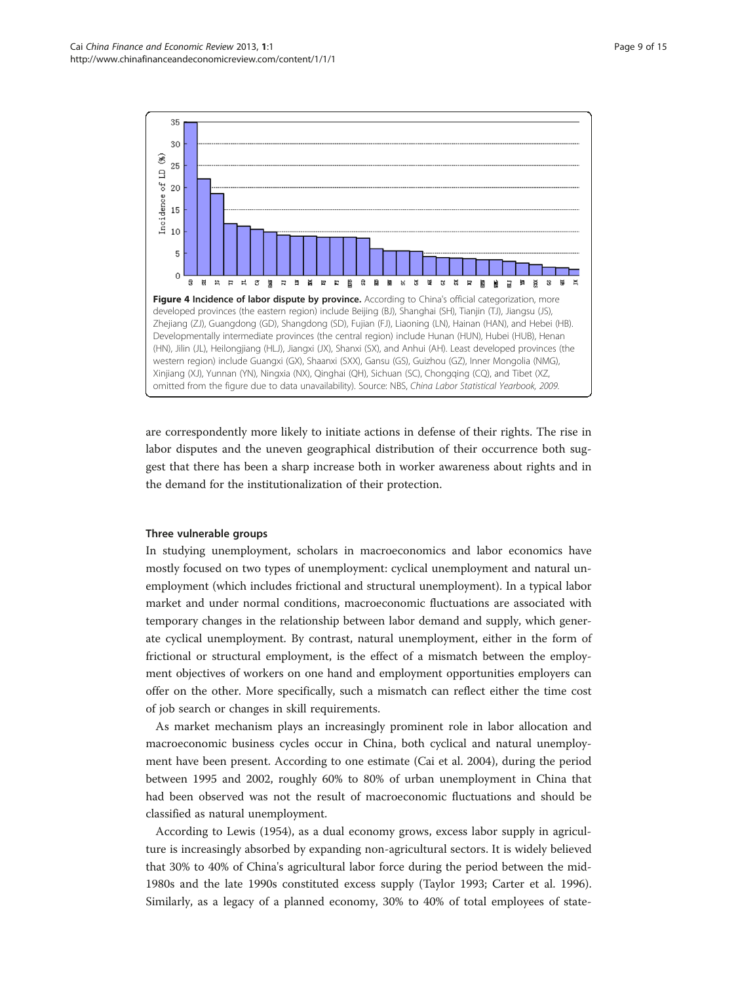<span id="page-8-0"></span>

are correspondently more likely to initiate actions in defense of their rights. The rise in labor disputes and the uneven geographical distribution of their occurrence both suggest that there has been a sharp increase both in worker awareness about rights and in the demand for the institutionalization of their protection.

#### Three vulnerable groups

In studying unemployment, scholars in macroeconomics and labor economics have mostly focused on two types of unemployment: cyclical unemployment and natural unemployment (which includes frictional and structural unemployment). In a typical labor market and under normal conditions, macroeconomic fluctuations are associated with temporary changes in the relationship between labor demand and supply, which generate cyclical unemployment. By contrast, natural unemployment, either in the form of frictional or structural employment, is the effect of a mismatch between the employment objectives of workers on one hand and employment opportunities employers can offer on the other. More specifically, such a mismatch can reflect either the time cost of job search or changes in skill requirements.

As market mechanism plays an increasingly prominent role in labor allocation and macroeconomic business cycles occur in China, both cyclical and natural unemployment have been present. According to one estimate (Cai et al. [2004\)](#page-13-0), during the period between 1995 and 2002, roughly 60% to 80% of urban unemployment in China that had been observed was not the result of macroeconomic fluctuations and should be classified as natural unemployment.

According to Lewis ([1954](#page-13-0)), as a dual economy grows, excess labor supply in agriculture is increasingly absorbed by expanding non-agricultural sectors. It is widely believed that 30% to 40% of China's agricultural labor force during the period between the mid-1980s and the late 1990s constituted excess supply (Taylor [1993](#page-13-0); Carter et al. [1996](#page-13-0)). Similarly, as a legacy of a planned economy, 30% to 40% of total employees of state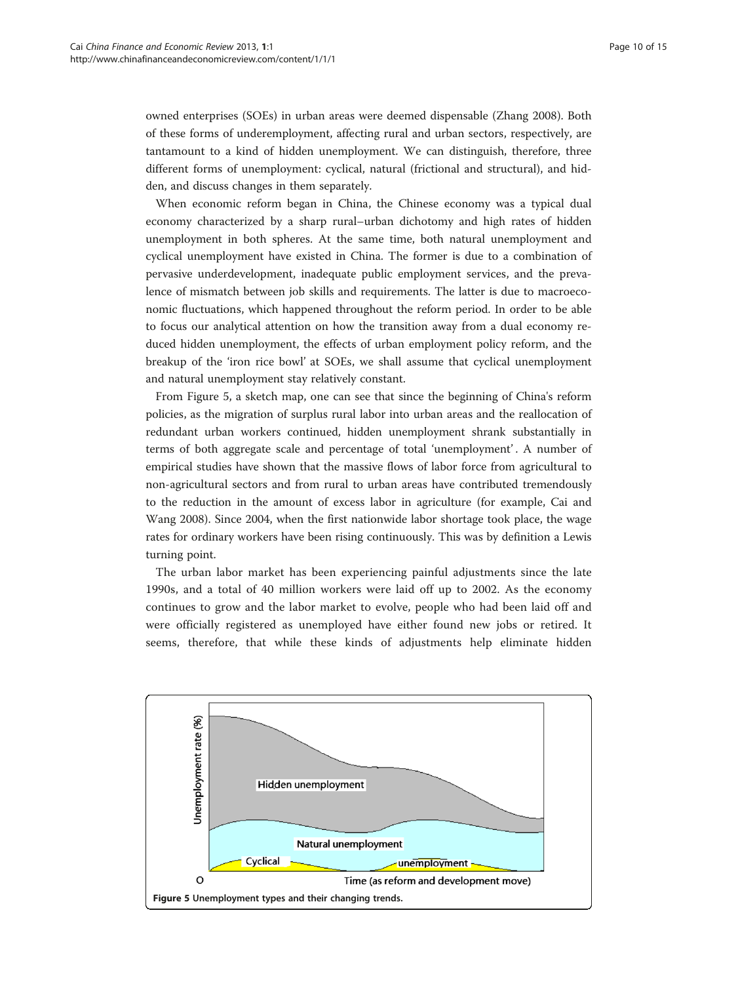owned enterprises (SOEs) in urban areas were deemed dispensable (Zhang [2008\)](#page-14-0). Both of these forms of underemployment, affecting rural and urban sectors, respectively, are tantamount to a kind of hidden unemployment. We can distinguish, therefore, three different forms of unemployment: cyclical, natural (frictional and structural), and hidden, and discuss changes in them separately.

When economic reform began in China, the Chinese economy was a typical dual economy characterized by a sharp rural–urban dichotomy and high rates of hidden unemployment in both spheres. At the same time, both natural unemployment and cyclical unemployment have existed in China. The former is due to a combination of pervasive underdevelopment, inadequate public employment services, and the prevalence of mismatch between job skills and requirements. The latter is due to macroeconomic fluctuations, which happened throughout the reform period. In order to be able to focus our analytical attention on how the transition away from a dual economy reduced hidden unemployment, the effects of urban employment policy reform, and the breakup of the 'iron rice bowl' at SOEs, we shall assume that cyclical unemployment and natural unemployment stay relatively constant.

From Figure 5, a sketch map, one can see that since the beginning of China's reform policies, as the migration of surplus rural labor into urban areas and the reallocation of redundant urban workers continued, hidden unemployment shrank substantially in terms of both aggregate scale and percentage of total 'unemployment' . A number of empirical studies have shown that the massive flows of labor force from agricultural to non-agricultural sectors and from rural to urban areas have contributed tremendously to the reduction in the amount of excess labor in agriculture (for example, Cai and Wang [2008\)](#page-13-0). Since 2004, when the first nationwide labor shortage took place, the wage rates for ordinary workers have been rising continuously. This was by definition a Lewis turning point.

The urban labor market has been experiencing painful adjustments since the late 1990s, and a total of 40 million workers were laid off up to 2002. As the economy continues to grow and the labor market to evolve, people who had been laid off and were officially registered as unemployed have either found new jobs or retired. It seems, therefore, that while these kinds of adjustments help eliminate hidden

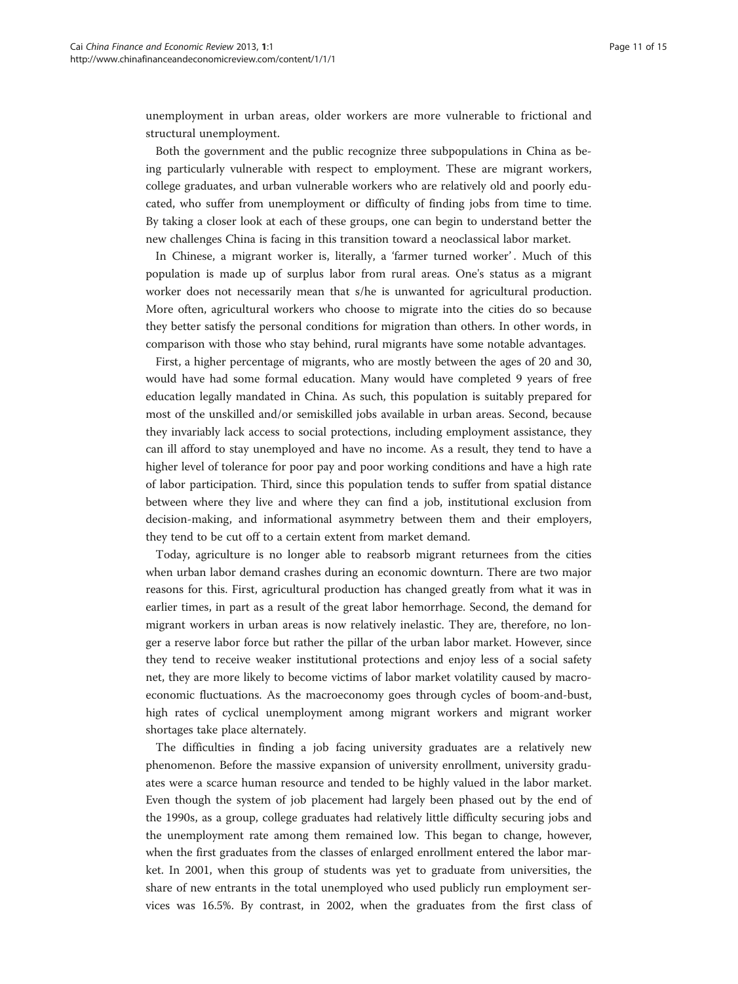unemployment in urban areas, older workers are more vulnerable to frictional and structural unemployment.

Both the government and the public recognize three subpopulations in China as being particularly vulnerable with respect to employment. These are migrant workers, college graduates, and urban vulnerable workers who are relatively old and poorly educated, who suffer from unemployment or difficulty of finding jobs from time to time. By taking a closer look at each of these groups, one can begin to understand better the new challenges China is facing in this transition toward a neoclassical labor market.

In Chinese, a migrant worker is, literally, a 'farmer turned worker' . Much of this population is made up of surplus labor from rural areas. One's status as a migrant worker does not necessarily mean that s/he is unwanted for agricultural production. More often, agricultural workers who choose to migrate into the cities do so because they better satisfy the personal conditions for migration than others. In other words, in comparison with those who stay behind, rural migrants have some notable advantages.

First, a higher percentage of migrants, who are mostly between the ages of 20 and 30, would have had some formal education. Many would have completed 9 years of free education legally mandated in China. As such, this population is suitably prepared for most of the unskilled and/or semiskilled jobs available in urban areas. Second, because they invariably lack access to social protections, including employment assistance, they can ill afford to stay unemployed and have no income. As a result, they tend to have a higher level of tolerance for poor pay and poor working conditions and have a high rate of labor participation. Third, since this population tends to suffer from spatial distance between where they live and where they can find a job, institutional exclusion from decision-making, and informational asymmetry between them and their employers, they tend to be cut off to a certain extent from market demand.

Today, agriculture is no longer able to reabsorb migrant returnees from the cities when urban labor demand crashes during an economic downturn. There are two major reasons for this. First, agricultural production has changed greatly from what it was in earlier times, in part as a result of the great labor hemorrhage. Second, the demand for migrant workers in urban areas is now relatively inelastic. They are, therefore, no longer a reserve labor force but rather the pillar of the urban labor market. However, since they tend to receive weaker institutional protections and enjoy less of a social safety net, they are more likely to become victims of labor market volatility caused by macroeconomic fluctuations. As the macroeconomy goes through cycles of boom-and-bust, high rates of cyclical unemployment among migrant workers and migrant worker shortages take place alternately.

The difficulties in finding a job facing university graduates are a relatively new phenomenon. Before the massive expansion of university enrollment, university graduates were a scarce human resource and tended to be highly valued in the labor market. Even though the system of job placement had largely been phased out by the end of the 1990s, as a group, college graduates had relatively little difficulty securing jobs and the unemployment rate among them remained low. This began to change, however, when the first graduates from the classes of enlarged enrollment entered the labor market. In 2001, when this group of students was yet to graduate from universities, the share of new entrants in the total unemployed who used publicly run employment services was 16.5%. By contrast, in 2002, when the graduates from the first class of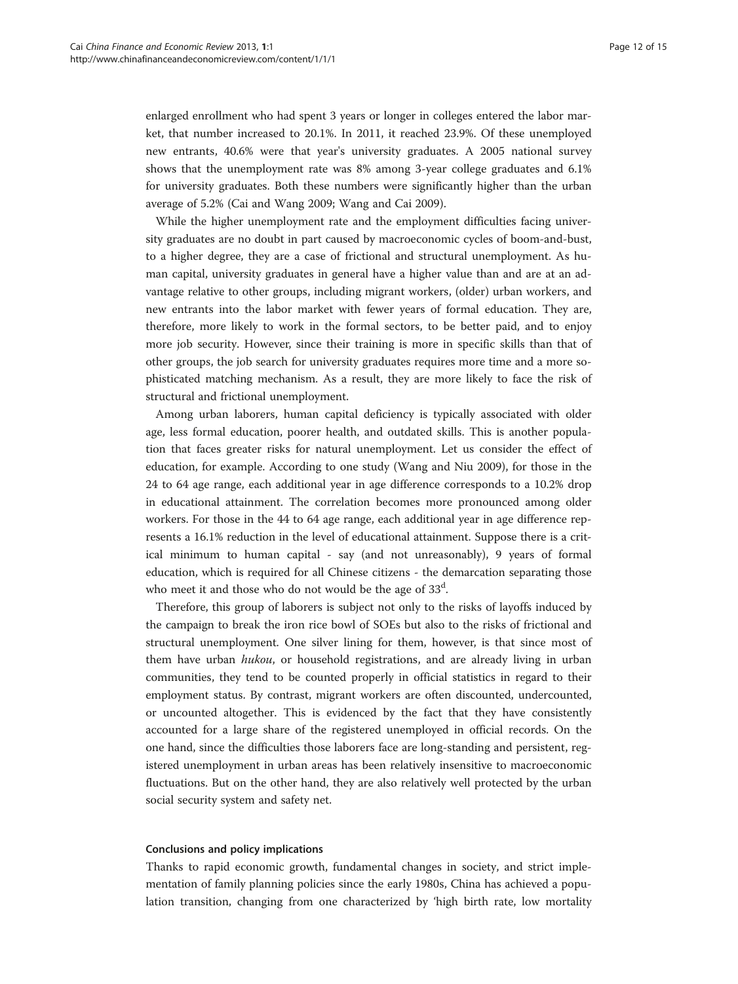enlarged enrollment who had spent 3 years or longer in colleges entered the labor market, that number increased to 20.1%. In 2011, it reached 23.9%. Of these unemployed new entrants, 40.6% were that year's university graduates. A 2005 national survey shows that the unemployment rate was 8% among 3-year college graduates and 6.1% for university graduates. Both these numbers were significantly higher than the urban average of 5.2% (Cai and Wang [2009](#page-13-0); Wang and Cai [2009\)](#page-14-0).

While the higher unemployment rate and the employment difficulties facing university graduates are no doubt in part caused by macroeconomic cycles of boom-and-bust, to a higher degree, they are a case of frictional and structural unemployment. As human capital, university graduates in general have a higher value than and are at an advantage relative to other groups, including migrant workers, (older) urban workers, and new entrants into the labor market with fewer years of formal education. They are, therefore, more likely to work in the formal sectors, to be better paid, and to enjoy more job security. However, since their training is more in specific skills than that of other groups, the job search for university graduates requires more time and a more sophisticated matching mechanism. As a result, they are more likely to face the risk of structural and frictional unemployment.

Among urban laborers, human capital deficiency is typically associated with older age, less formal education, poorer health, and outdated skills. This is another population that faces greater risks for natural unemployment. Let us consider the effect of education, for example. According to one study (Wang and Niu [2009](#page-14-0)), for those in the 24 to 64 age range, each additional year in age difference corresponds to a 10.2% drop in educational attainment. The correlation becomes more pronounced among older workers. For those in the 44 to 64 age range, each additional year in age difference represents a 16.1% reduction in the level of educational attainment. Suppose there is a critical minimum to human capital - say (and not unreasonably), 9 years of formal education, which is required for all Chinese citizens - the demarcation separating those who meet it and those who do not would be the age of  $33<sup>d</sup>$ .

Therefore, this group of laborers is subject not only to the risks of layoffs induced by the campaign to break the iron rice bowl of SOEs but also to the risks of frictional and structural unemployment. One silver lining for them, however, is that since most of them have urban hukou, or household registrations, and are already living in urban communities, they tend to be counted properly in official statistics in regard to their employment status. By contrast, migrant workers are often discounted, undercounted, or uncounted altogether. This is evidenced by the fact that they have consistently accounted for a large share of the registered unemployed in official records. On the one hand, since the difficulties those laborers face are long-standing and persistent, registered unemployment in urban areas has been relatively insensitive to macroeconomic fluctuations. But on the other hand, they are also relatively well protected by the urban social security system and safety net.

#### Conclusions and policy implications

Thanks to rapid economic growth, fundamental changes in society, and strict implementation of family planning policies since the early 1980s, China has achieved a population transition, changing from one characterized by 'high birth rate, low mortality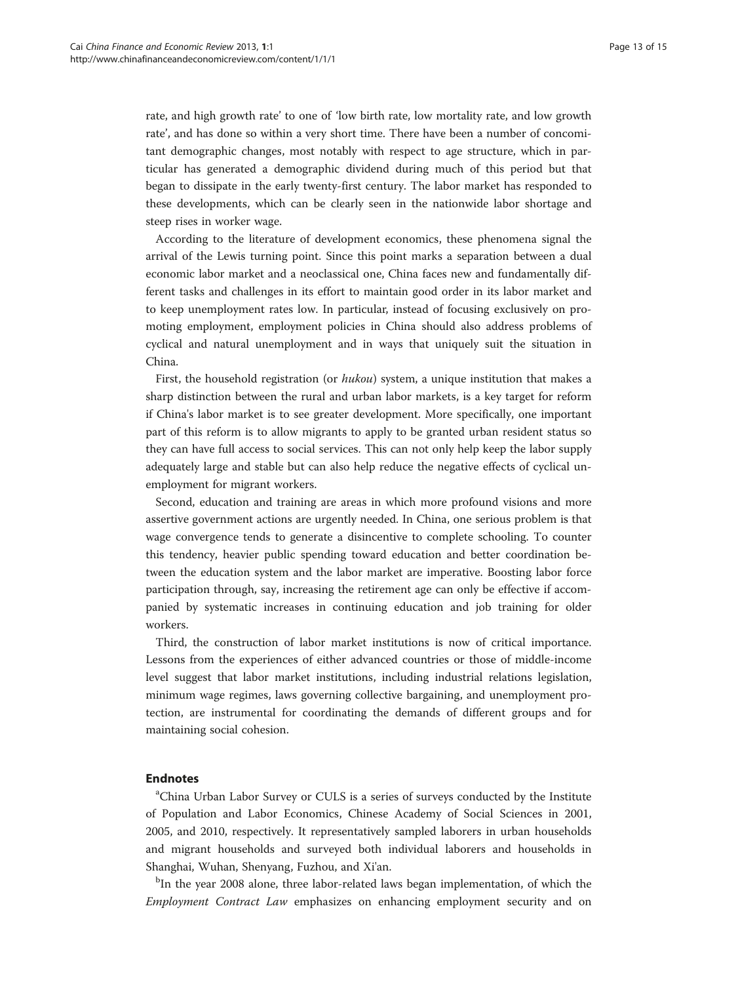rate, and high growth rate' to one of 'low birth rate, low mortality rate, and low growth rate', and has done so within a very short time. There have been a number of concomitant demographic changes, most notably with respect to age structure, which in particular has generated a demographic dividend during much of this period but that began to dissipate in the early twenty-first century. The labor market has responded to these developments, which can be clearly seen in the nationwide labor shortage and steep rises in worker wage.

According to the literature of development economics, these phenomena signal the arrival of the Lewis turning point. Since this point marks a separation between a dual economic labor market and a neoclassical one, China faces new and fundamentally different tasks and challenges in its effort to maintain good order in its labor market and to keep unemployment rates low. In particular, instead of focusing exclusively on promoting employment, employment policies in China should also address problems of cyclical and natural unemployment and in ways that uniquely suit the situation in China.

First, the household registration (or *hukou*) system, a unique institution that makes a sharp distinction between the rural and urban labor markets, is a key target for reform if China's labor market is to see greater development. More specifically, one important part of this reform is to allow migrants to apply to be granted urban resident status so they can have full access to social services. This can not only help keep the labor supply adequately large and stable but can also help reduce the negative effects of cyclical unemployment for migrant workers.

Second, education and training are areas in which more profound visions and more assertive government actions are urgently needed. In China, one serious problem is that wage convergence tends to generate a disincentive to complete schooling. To counter this tendency, heavier public spending toward education and better coordination between the education system and the labor market are imperative. Boosting labor force participation through, say, increasing the retirement age can only be effective if accompanied by systematic increases in continuing education and job training for older workers.

Third, the construction of labor market institutions is now of critical importance. Lessons from the experiences of either advanced countries or those of middle-income level suggest that labor market institutions, including industrial relations legislation, minimum wage regimes, laws governing collective bargaining, and unemployment protection, are instrumental for coordinating the demands of different groups and for maintaining social cohesion.

#### Endnotes

<sup>a</sup>China Urban Labor Survey or CULS is a series of surveys conducted by the Institute of Population and Labor Economics, Chinese Academy of Social Sciences in 2001, 2005, and 2010, respectively. It representatively sampled laborers in urban households and migrant households and surveyed both individual laborers and households in Shanghai, Wuhan, Shenyang, Fuzhou, and Xi'an.

<sup>b</sup>In the year 2008 alone, three labor-related laws began implementation, of which the Employment Contract Law emphasizes on enhancing employment security and on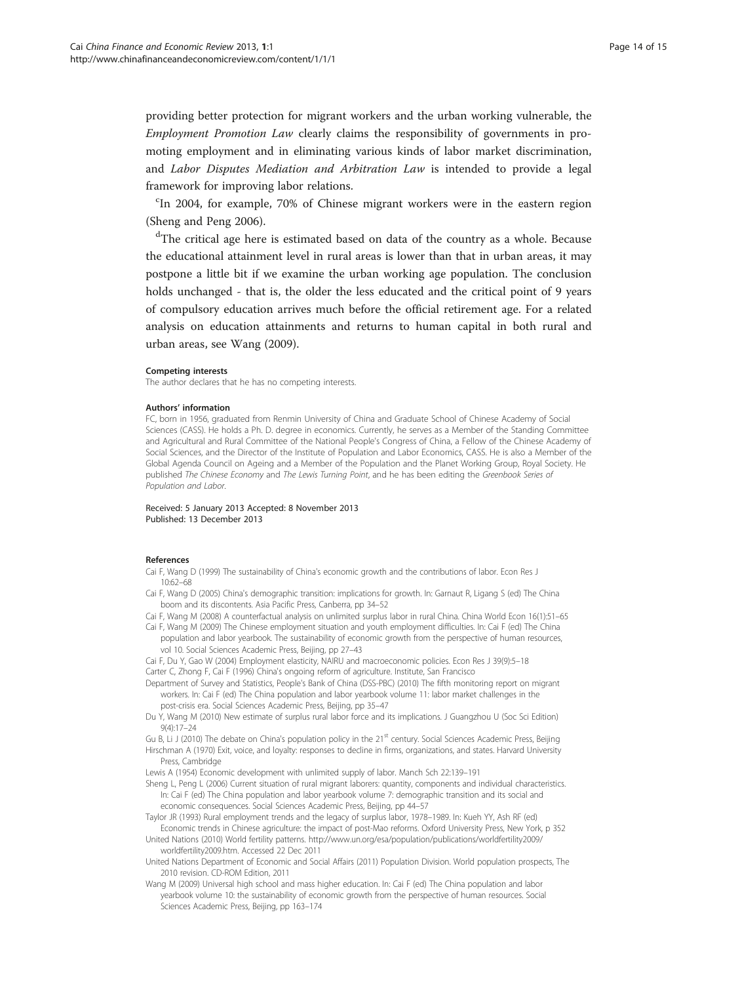<span id="page-13-0"></span>providing better protection for migrant workers and the urban working vulnerable, the Employment Promotion Law clearly claims the responsibility of governments in promoting employment and in eliminating various kinds of labor market discrimination, and Labor Disputes Mediation and Arbitration Law is intended to provide a legal framework for improving labor relations.

<sup>c</sup>In 2004, for example, 70% of Chinese migrant workers were in the eastern region (Sheng and Peng 2006).

<sup>d</sup>The critical age here is estimated based on data of the country as a whole. Because the educational attainment level in rural areas is lower than that in urban areas, it may postpone a little bit if we examine the urban working age population. The conclusion holds unchanged - that is, the older the less educated and the critical point of 9 years of compulsory education arrives much before the official retirement age. For a related analysis on education attainments and returns to human capital in both rural and urban areas, see Wang (2009).

#### Competing interests

The author declares that he has no competing interests.

#### Authors' information

FC, born in 1956, graduated from Renmin University of China and Graduate School of Chinese Academy of Social Sciences (CASS). He holds a Ph. D. degree in economics. Currently, he serves as a Member of the Standing Committee and Agricultural and Rural Committee of the National People's Congress of China, a Fellow of the Chinese Academy of Social Sciences, and the Director of the Institute of Population and Labor Economics, CASS. He is also a Member of the Global Agenda Council on Ageing and a Member of the Population and the Planet Working Group, Royal Society. He published The Chinese Economy and The Lewis Turning Point, and he has been editing the Greenbook Series of Population and Labor.

#### Received: 5 January 2013 Accepted: 8 November 2013 Published: 13 December 2013

#### References

- Cai F, Wang D (1999) The sustainability of China's economic growth and the contributions of labor. Econ Res J 10:62–68
- Cai F, Wang D (2005) China's demographic transition: implications for growth. In: Garnaut R, Ligang S (ed) The China boom and its discontents. Asia Pacific Press, Canberra, pp 34–52
- Cai F, Wang M (2008) A counterfactual analysis on unlimited surplus labor in rural China. China World Econ 16(1):51–65
- Cai F, Wang M (2009) The Chinese employment situation and youth employment difficulties. In: Cai F (ed) The China population and labor yearbook. The sustainability of economic growth from the perspective of human resources, vol 10. Social Sciences Academic Press, Beijing, pp 27–43

Cai F, Du Y, Gao W (2004) Employment elasticity, NAIRU and macroeconomic policies. Econ Res J 39(9):5–18 Carter C, Zhong F, Cai F (1996) China's ongoing reform of agriculture. Institute, San Francisco

- Department of Survey and Statistics, People's Bank of China (DSS-PBC) (2010) The fifth monitoring report on migrant workers. In: Cai F (ed) The China population and labor yearbook volume 11: labor market challenges in the post-crisis era. Social Sciences Academic Press, Beijing, pp 35–47
- Du Y, Wang M (2010) New estimate of surplus rural labor force and its implications. J Guangzhou U (Soc Sci Edition) 9(4):17–24
- Gu B, Li J (2010) The debate on China's population policy in the 21<sup>st</sup> century. Social Sciences Academic Press, Beijing Hirschman A (1970) Exit, voice, and loyalty: responses to decline in firms, organizations, and states. Harvard University Press, Cambridge

Lewis A (1954) Economic development with unlimited supply of labor. Manch Sch 22:139–191

- Sheng L, Peng L (2006) Current situation of rural migrant laborers: quantity, components and individual characteristics. In: Cai F (ed) The China population and labor yearbook volume 7: demographic transition and its social and economic consequences. Social Sciences Academic Press, Beijing, pp 44–57
- Taylor JR (1993) Rural employment trends and the legacy of surplus labor, 1978–1989. In: Kueh YY, Ash RF (ed) Economic trends in Chinese agriculture: the impact of post-Mao reforms. Oxford University Press, New York, p 352
- United Nations (2010) World fertility patterns. [http://www.un.org/esa/population/publications/worldfertility2009/](http://www.un.org/esa/population/publications/worldfertility2009/worldfertility2009.htm) [worldfertility2009.htm.](http://www.un.org/esa/population/publications/worldfertility2009/worldfertility2009.htm) Accessed 22 Dec 2011
- United Nations Department of Economic and Social Affairs (2011) Population Division. World population prospects, The 2010 revision. CD-ROM Edition, 2011
- Wang M (2009) Universal high school and mass higher education. In: Cai F (ed) The China population and labor yearbook volume 10: the sustainability of economic growth from the perspective of human resources. Social Sciences Academic Press, Beijing, pp 163–174